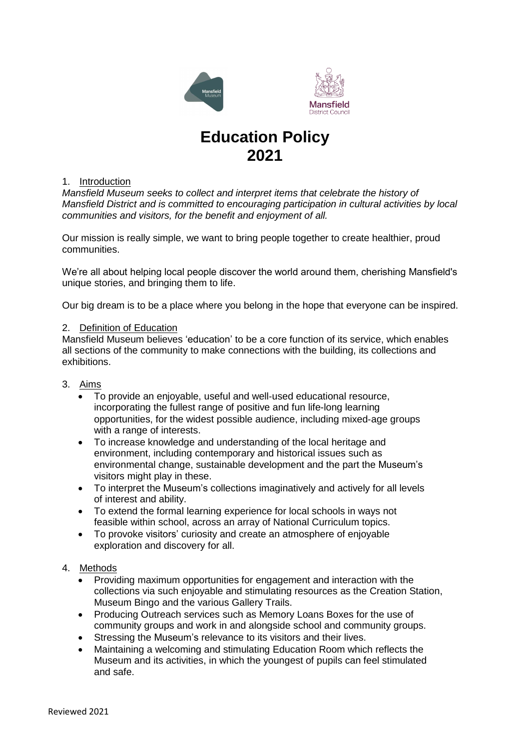



# **Education Policy 2021**

### 1. Introduction

*Mansfield Museum seeks to collect and interpret items that celebrate the history of Mansfield District and is committed to encouraging participation in cultural activities by local communities and visitors, for the benefit and enjoyment of all.*

Our mission is really simple, we want to bring people together to create healthier, proud communities.

We're all about helping local people discover the world around them, cherishing Mansfield's unique stories, and bringing them to life.

Our big dream is to be a place where you belong in the hope that everyone can be inspired.

## 2. Definition of Education

Mansfield Museum believes 'education' to be a core function of its service, which enables all sections of the community to make connections with the building, its collections and exhibitions.

## 3. Aims

- To provide an enjoyable, useful and well-used educational resource, incorporating the fullest range of positive and fun life-long learning opportunities, for the widest possible audience, including mixed‐age groups with a range of interests.
- To increase knowledge and understanding of the local heritage and environment, including contemporary and historical issues such as environmental change, sustainable development and the part the Museum's visitors might play in these.
- To interpret the Museum's collections imaginatively and actively for all levels of interest and ability.
- To extend the formal learning experience for local schools in ways not feasible within school, across an array of National Curriculum topics.
- To provoke visitors' curiosity and create an atmosphere of enjoyable exploration and discovery for all.
- 4. Methods
	- Providing maximum opportunities for engagement and interaction with the collections via such enjoyable and stimulating resources as the Creation Station, Museum Bingo and the various Gallery Trails.
	- Producing Outreach services such as Memory Loans Boxes for the use of community groups and work in and alongside school and community groups.
	- Stressing the Museum's relevance to its visitors and their lives.
	- Maintaining a welcoming and stimulating Education Room which reflects the Museum and its activities, in which the youngest of pupils can feel stimulated and safe.